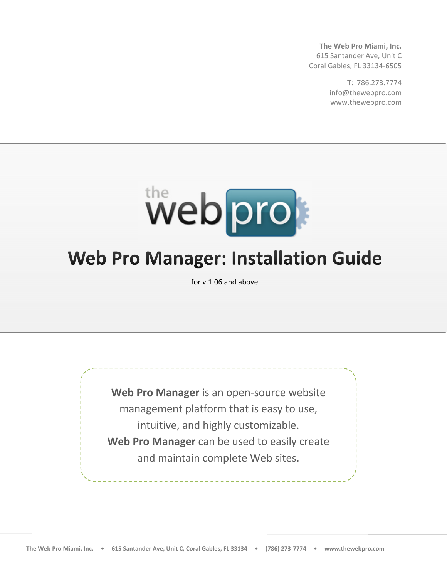**The Web Pro Miami, Inc.** 615 Santander Ave, Unit C Coral Gables, FL 33134‐6505

> T: 786.273.7774 info@thewebpro.com www.thewebpro.com



# **Web Pro Manager: Installation Guide**

for v.1.06 and above

**Web Pro Manager** is an open‐source website management platform that is easy to use, intuitive, and highly customizable. **Web Pro Manager** can be used to easily create and maintain complete Web sites.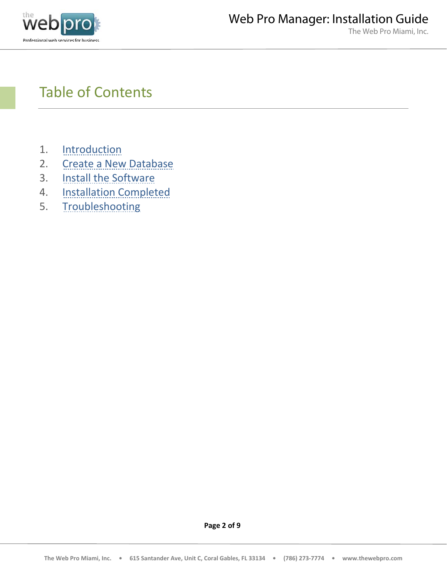

# Table of Contents

- 1. Introduction
- 2. Create a New Database
- 3. Install the Software
- 4. Installation Completed
- 5. Troubleshooting

**Page 2 of 9**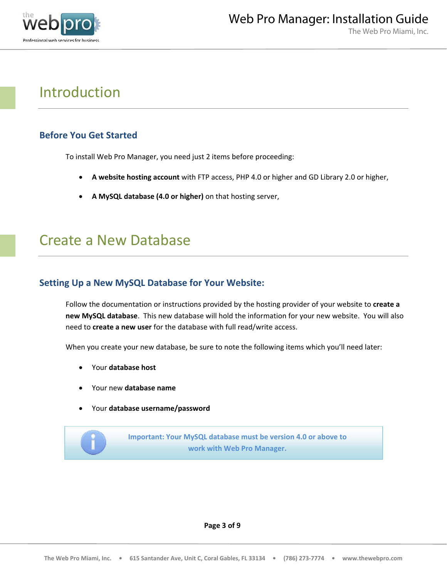

### Introduction

### **Before You Get Started**

To install Web Pro Manager, you need just 2 items before proceeding:

- **A website hosting account** with FTP access, PHP 4.0 or higher and GD Library 2.0 or higher,
- **A MySQL database (4.0 or higher)** on that hosting server,

### Create a New Database

### **Setting Up a New MySQL Database for Your Website:**

Follow the documentation or instructions provided by the hosting provider of your website to **create a new MySQL database**. This new database will hold the information for your new website. You will also need to **create a new user** for the database with full read/write access.

When you create your new database, be sure to note the following items which you'll need later:

- Your **database host**
- Your new **database name**
- Your **database username/password**

**Important: Your MySQL database must be version 4.0 or above to work with Web Pro Manager.**

**Page 3 of 9**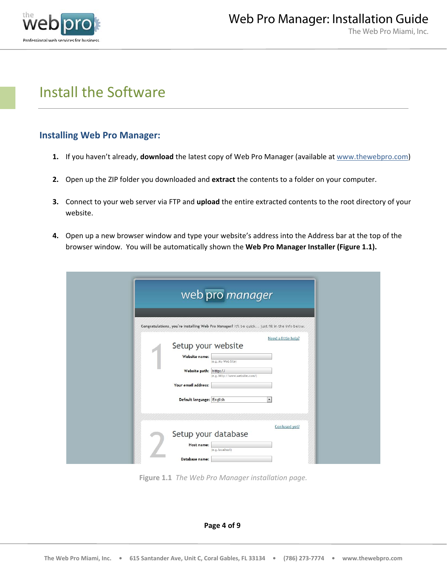

### Install the Software

#### **Installing Web Pro Manager:**

- **1.** If you haven't already, **download** the latest copy of Web Pro Manager (available at www.thewebpro.com)
- **2.** Open up the ZIP folder you downloaded and **extract** the contents to a folder on your computer.
- **3.** Connect to your web server via FTP and **upload** the entire extracted contents to the root directory of your website.
- **4.** Open up a new browser window and type your website's address into the Address bar at the top of the browser window. You will be automatically shown the **Web Pro Manager Installer (Figure 1.1).**

| web pro manager                                                                                                                                                                                                             |
|-----------------------------------------------------------------------------------------------------------------------------------------------------------------------------------------------------------------------------|
| Congratulations, you're installing Web Pro Manager! It'll be quick. just fill in the info below.                                                                                                                            |
| Need a little help?<br>Setup your website<br>Website name:<br>(e.g. My Web Site)<br>Website path: http://<br>(e.g. http://www.website.com/)<br>Your email address:<br>$\overline{\phantom{0}}$<br>Default language: English |
| Confused yet?<br>Setup your database<br>Host name:<br>(e.g. localhost)<br>Database name:                                                                                                                                    |

**Figure 1.1** *The Web Pro Manager installation page.*

**Page 4 of 9**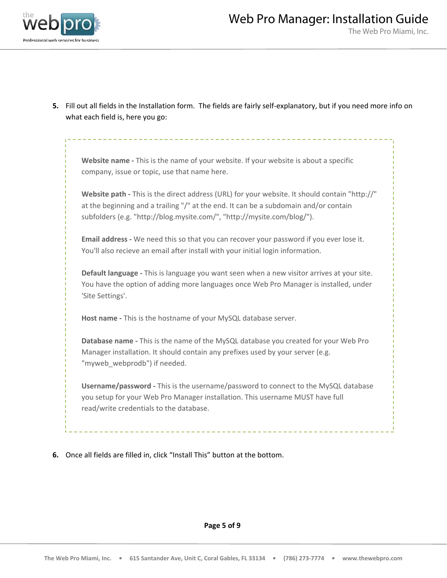

**5.** Fill out all fields in the Installation form. The fields are fairly self‐explanatory, but if you need more info on what each field is, here you go:

**Website name ‐** This is the name of your website. If your website is about a specific company, issue or topic, use that name here.

**Website path ‐** This is the direct address (URL) for your website. It should contain "http://" at the beginning and a trailing "/" at the end. It can be a subdomain and/or contain subfolders (e.g. "http://blog.mysite.com/", "http://mysite.com/blog/").

**Email address ‐** We need this so that you can recover your password if you ever lose it. You'll also recieve an email after install with your initial login information.

**Default language ‐** This is language you want seen when a new visitor arrives at your site. You have the option of adding more languages once Web Pro Manager is installed, under 'Site Settings'.

**Host name ‐** This is the hostname of your MySQL database server.

**Database name ‐** This is the name of the MySQL database you created for your Web Pro Manager installation. It should contain any prefixes used by your server (e.g. "myweb\_webprodb") if needed.

**Username/password ‐** This is the username/password to connect to the MySQL database you setup for your Web Pro Manager installation. This username MUST have full read/write credentials to the database.

**6.** Once all fields are filled in, click "Install This" button at the bottom.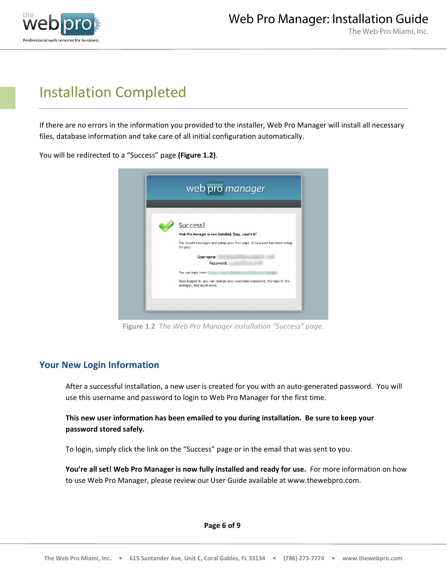

### Installation Completed

If there are no errors in the information you provided to the installer, Web Pro Manager will install all necessary files, database information and take care of all initial configuration automatically.

You will be redirected to a "Success" page **(Figure 1.2)**.



**Figure 1.2** *The Web Pro Manager installation "Success" page.*

### **Your New Login Information**

After a successful installation, a new user is created for you with an auto‐generated password. You will use this username and password to login to Web Pro Manager for the first time.

#### **This new user information has been emailed to you during installation. Be sure to keep your password stored safely.**

To login, simply click the link on the "Success" page or in the email that was sent to you.

**You're all set! Web Pro Manager is now fully installed and ready for use.** For more information on how to use Web Pro Manager, please review our User Guide available at www.thewebpro.com.

**Page 6 of 9**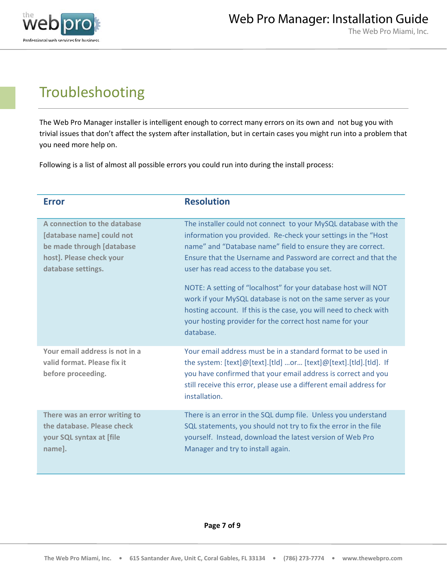

## Troubleshooting

The Web Pro Manager installer is intelligent enough to correct many errors on its own and not bug you with trivial issues that don't affect the system after installation, but in certain cases you might run into a problem that you need more help on.

Following is a list of almost all possible errors you could run into during the install process:

| <b>Error</b>                                                                                                                             | <b>Resolution</b>                                                                                                                                                                                                                                                                                                                                                                                                                                                                                                                                                                                    |
|------------------------------------------------------------------------------------------------------------------------------------------|------------------------------------------------------------------------------------------------------------------------------------------------------------------------------------------------------------------------------------------------------------------------------------------------------------------------------------------------------------------------------------------------------------------------------------------------------------------------------------------------------------------------------------------------------------------------------------------------------|
| A connection to the database<br>[database name] could not<br>be made through [database<br>host]. Please check your<br>database settings. | The installer could not connect to your MySQL database with the<br>information you provided. Re-check your settings in the "Host"<br>name" and "Database name" field to ensure they are correct.<br>Ensure that the Username and Password are correct and that the<br>user has read access to the database you set.<br>NOTE: A setting of "localhost" for your database host will NOT<br>work if your MySQL database is not on the same server as your<br>hosting account. If this is the case, you will need to check with<br>your hosting provider for the correct host name for your<br>database. |
| Your email address is not in a<br>valid format. Please fix it<br>before proceeding.                                                      | Your email address must be in a standard format to be used in<br>the system: [text]@[text].[tld] or [text]@[text].[tld].[tld]. If<br>you have confirmed that your email address is correct and you<br>still receive this error, please use a different email address for<br>installation.                                                                                                                                                                                                                                                                                                            |
| There was an error writing to<br>the database. Please check<br>your SQL syntax at [file<br>name].                                        | There is an error in the SQL dump file. Unless you understand<br>SQL statements, you should not try to fix the error in the file<br>yourself. Instead, download the latest version of Web Pro<br>Manager and try to install again.                                                                                                                                                                                                                                                                                                                                                                   |

**Page 7 of 9**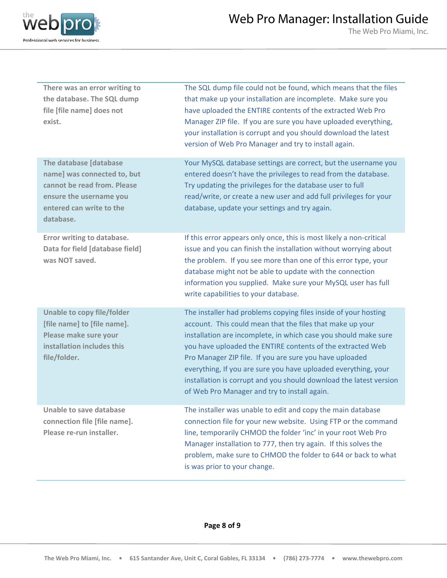

The Web Pro Miami, Inc.

| There was an error writing to<br>the database. The SQL dump<br>file [file name] does not<br>exist.                                                       | The SQL dump file could not be found, which means that the files<br>that make up your installation are incomplete. Make sure you<br>have uploaded the ENTIRE contents of the extracted Web Pro<br>Manager ZIP file. If you are sure you have uploaded everything,<br>your installation is corrupt and you should download the latest<br>version of Web Pro Manager and try to install again.                                                                                                                     |
|----------------------------------------------------------------------------------------------------------------------------------------------------------|------------------------------------------------------------------------------------------------------------------------------------------------------------------------------------------------------------------------------------------------------------------------------------------------------------------------------------------------------------------------------------------------------------------------------------------------------------------------------------------------------------------|
| The database [database<br>name] was connected to, but<br>cannot be read from. Please<br>ensure the username you<br>entered can write to the<br>database. | Your MySQL database settings are correct, but the username you<br>entered doesn't have the privileges to read from the database.<br>Try updating the privileges for the database user to full<br>read/write, or create a new user and add full privileges for your<br>database, update your settings and try again.                                                                                                                                                                                              |
| Error writing to database.<br>Data for field [database field]<br>was NOT saved.                                                                          | If this error appears only once, this is most likely a non-critical<br>issue and you can finish the installation without worrying about<br>the problem. If you see more than one of this error type, your<br>database might not be able to update with the connection<br>information you supplied. Make sure your MySQL user has full<br>write capabilities to your database.                                                                                                                                    |
| <b>Unable to copy file/folder</b><br>[file name] to [file name].<br>Please make sure your<br>installation includes this<br>file/folder.                  | The installer had problems copying files inside of your hosting<br>account. This could mean that the files that make up your<br>installation are incomplete, in which case you should make sure<br>you have uploaded the ENTIRE contents of the extracted Web<br>Pro Manager ZIP file. If you are sure you have uploaded<br>everything, If you are sure you have uploaded everything, your<br>installation is corrupt and you should download the latest version<br>of Web Pro Manager and try to install again. |
| <b>Unable to save database</b><br>connection file [file name].<br>Please re-run installer.                                                               | The installer was unable to edit and copy the main database<br>connection file for your new website. Using FTP or the command<br>line, temporarily CHMOD the folder 'inc' in your root Web Pro<br>Manager installation to 777, then try again. If this solves the<br>problem, make sure to CHMOD the folder to 644 or back to what<br>is was prior to your change.                                                                                                                                               |

**Page 8 of 9**